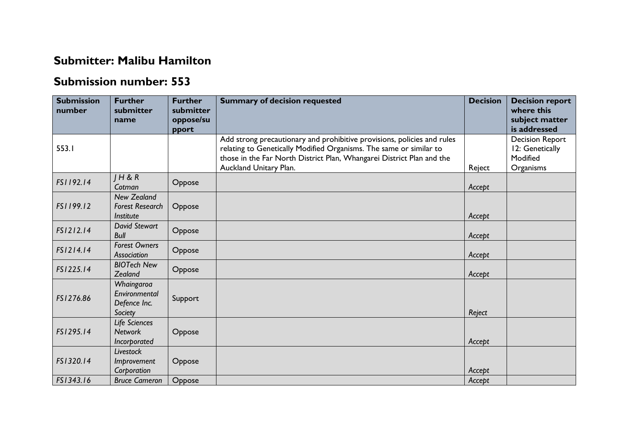## **Submitter: Malibu Hamilton**

## **Submission number: 553**

| <b>Submission</b><br>number | <b>Further</b><br>submitter<br>name                              | <b>Further</b><br>submitter<br>oppose/su<br>pport | <b>Summary of decision requested</b>                                                                                                                                                                                                             | <b>Decision</b> | <b>Decision report</b><br>where this<br>subject matter<br>is addressed |
|-----------------------------|------------------------------------------------------------------|---------------------------------------------------|--------------------------------------------------------------------------------------------------------------------------------------------------------------------------------------------------------------------------------------------------|-----------------|------------------------------------------------------------------------|
| 553.1                       |                                                                  |                                                   | Add strong precautionary and prohibitive provisions, policies and rules<br>relating to Genetically Modified Organisms. The same or similar to<br>those in the Far North District Plan, Whangarei District Plan and the<br>Auckland Unitary Plan. | Reject          | <b>Decision Report</b><br>12: Genetically<br>Modified<br>Organisms     |
| FS1192.14                   | H & R<br>Cotman                                                  | Oppose                                            |                                                                                                                                                                                                                                                  | Accept          |                                                                        |
| FS1199.12                   | <b>New Zealand</b><br><b>Forest Research</b><br><b>Institute</b> | Oppose                                            |                                                                                                                                                                                                                                                  | Accept          |                                                                        |
| FS1212.14                   | <b>David Stewart</b><br>Bull                                     | Oppose                                            |                                                                                                                                                                                                                                                  | Accept          |                                                                        |
| FS1214.14                   | <b>Forest Owners</b><br>Association                              | Oppose                                            |                                                                                                                                                                                                                                                  | Accept          |                                                                        |
| FS1225.14                   | <b>BIOTech New</b><br>Zealand                                    | Oppose                                            |                                                                                                                                                                                                                                                  | Accept          |                                                                        |
| FS1276.86                   | Whaingaroa<br>Environmental<br>Defence Inc.<br>Society           | Support                                           |                                                                                                                                                                                                                                                  | Reject          |                                                                        |
| FS1295.14                   | Life Sciences<br><b>Network</b><br>Incorporated                  | Oppose                                            |                                                                                                                                                                                                                                                  | Accept          |                                                                        |
| FS1320.14                   | <b>Livestock</b><br>Improvement<br>Corporation                   | Oppose                                            |                                                                                                                                                                                                                                                  | Accept          |                                                                        |
| FS1343.16                   | <b>Bruce Cameron</b>                                             | Oppose                                            |                                                                                                                                                                                                                                                  | Accept          |                                                                        |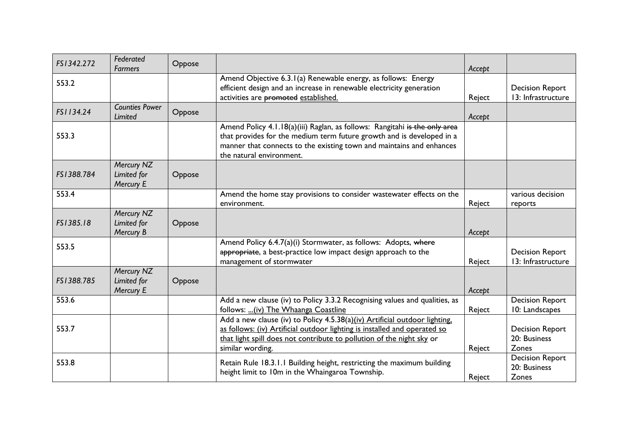| FS1342.272 | Federated<br><b>Farmers</b>                   | Oppose |                                                                                                                                                                                                                                                         | Accept |                                                 |
|------------|-----------------------------------------------|--------|---------------------------------------------------------------------------------------------------------------------------------------------------------------------------------------------------------------------------------------------------------|--------|-------------------------------------------------|
| 553.2      |                                               |        | Amend Objective 6.3.1(a) Renewable energy, as follows: Energy<br>efficient design and an increase in renewable electricity generation<br>activities are promoted established.                                                                           | Reject | <b>Decision Report</b><br>13: Infrastructure    |
| FS1134.24  | <b>Counties Power</b><br>Limited              | Oppose |                                                                                                                                                                                                                                                         | Accept |                                                 |
| 553.3      |                                               |        | Amend Policy 4.1.18(a)(iii) Raglan, as follows: Rangitahi is the only area<br>that provides for the medium term future growth and is developed in a<br>manner that connects to the existing town and maintains and enhances<br>the natural environment. |        |                                                 |
| FS1388.784 | Mercury NZ<br>Limited for<br>Mercury E        | Oppose |                                                                                                                                                                                                                                                         |        |                                                 |
| 553.4      |                                               |        | Amend the home stay provisions to consider wastewater effects on the<br>environment.                                                                                                                                                                    | Reject | various decision<br>reports                     |
| FS1385.18  | Mercury NZ<br>Limited for<br>Mercury B        | Oppose |                                                                                                                                                                                                                                                         | Accept |                                                 |
| 553.5      |                                               |        | Amend Policy 6.4.7(a)(i) Stormwater, as follows: Adopts, where<br>appropriate, a best-practice low impact design approach to the<br>management of stormwater                                                                                            | Reject | <b>Decision Report</b><br>13: Infrastructure    |
| FS1388.785 | Mercury NZ<br>Limited for<br><b>Mercury E</b> | Oppose |                                                                                                                                                                                                                                                         | Accept |                                                 |
| 553.6      |                                               |        | Add a new clause (iv) to Policy 3.3.2 Recognising values and qualities, as<br>follows:  (iv) The Whaanga Coastline                                                                                                                                      | Reject | <b>Decision Report</b><br>10: Landscapes        |
| 553.7      |                                               |        | Add a new clause (iv) to Policy 4.5.38(a)(iv) Artificial outdoor lighting,<br>as follows: (iv) Artificial outdoor lighting is installed and operated so<br>that light spill does not contribute to pollution of the night sky or<br>similar wording.    | Reject | <b>Decision Report</b><br>20: Business<br>Zones |
| 553.8      |                                               |        | Retain Rule 18.3.1.1 Building height, restricting the maximum building<br>height limit to 10m in the Whaingaroa Township.                                                                                                                               | Reject | <b>Decision Report</b><br>20: Business<br>Zones |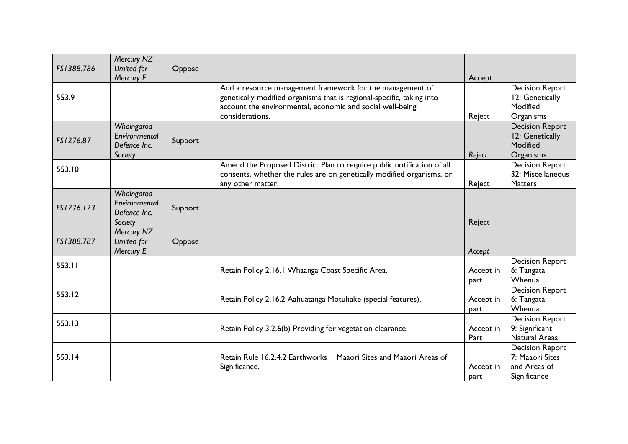| FS1388.786 | Mercury NZ<br>Limited for<br>Mercury E                 | Oppose  |                                                                                                                                                                                                                    | Accept            |                                                                           |
|------------|--------------------------------------------------------|---------|--------------------------------------------------------------------------------------------------------------------------------------------------------------------------------------------------------------------|-------------------|---------------------------------------------------------------------------|
| 553.9      |                                                        |         | Add a resource management framework for the management of<br>genetically modified organisms that is regional-specific, taking into<br>account the environmental, economic and social well-being<br>considerations. | Reject            | <b>Decision Report</b><br>12: Genetically<br>Modified<br>Organisms        |
| FS1276.87  | Whaingaroa<br>Environmental<br>Defence Inc.<br>Society | Support |                                                                                                                                                                                                                    | Reject            | <b>Decision Report</b><br>12: Genetically<br>Modified<br>Organisms        |
| 553.10     |                                                        |         | Amend the Proposed District Plan to require public notification of all<br>consents, whether the rules are on genetically modified organisms, or<br>any other matter.                                               | Reject            | <b>Decision Report</b><br>32: Miscellaneous<br><b>Matters</b>             |
| FS1276.123 | Whaingaroa<br>Environmental<br>Defence Inc.<br>Society | Support |                                                                                                                                                                                                                    | Reject            |                                                                           |
| FS1388.787 | Mercury NZ<br>Limited for<br>Mercury E                 | Oppose  |                                                                                                                                                                                                                    | Accept            |                                                                           |
| 553.11     |                                                        |         | Retain Policy 2.16.1 Whaanga Coast Specific Area.                                                                                                                                                                  | Accept in<br>part | <b>Decision Report</b><br>6: Tangata<br>Whenua                            |
| 553.12     |                                                        |         | Retain Policy 2.16.2 Aahuatanga Motuhake (special features).                                                                                                                                                       | Accept in<br>part | <b>Decision Report</b><br>6: Tangata<br>Whenua                            |
| 553.13     |                                                        |         | Retain Policy 3.2.6(b) Providing for vegetation clearance.                                                                                                                                                         | Accept in<br>Part | <b>Decision Report</b><br>9: Significant<br><b>Natural Areas</b>          |
| 553.14     |                                                        |         | Retain Rule 16.2.4.2 Earthworks - Maaori Sites and Maaori Areas of<br>Significance.                                                                                                                                | Accept in<br>part | <b>Decision Report</b><br>7: Maaori Sites<br>and Areas of<br>Significance |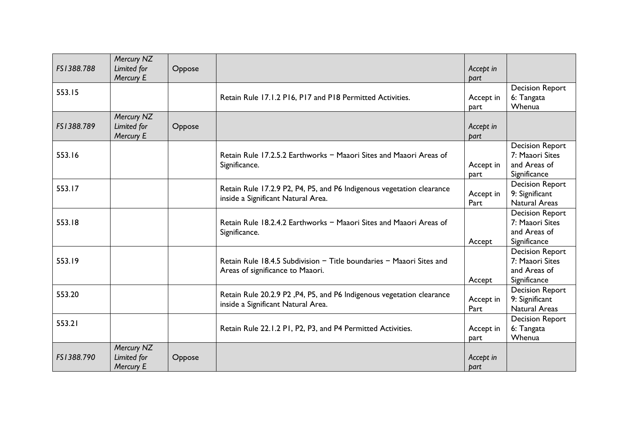| FS1388.788 | Mercury NZ<br>Limited for<br>Mercury E        | Oppose |                                                                                                             | Accept in<br>bart |                                                                           |
|------------|-----------------------------------------------|--------|-------------------------------------------------------------------------------------------------------------|-------------------|---------------------------------------------------------------------------|
| 553.15     |                                               |        | Retain Rule 17.1.2 P16, P17 and P18 Permitted Activities.                                                   | Accept in<br>part | <b>Decision Report</b><br>6: Tangata<br>Whenua                            |
| FS1388.789 | Mercury NZ<br>Limited for<br>Mercury E        | Oppose |                                                                                                             | Accept in<br>part |                                                                           |
| 553.16     |                                               |        | Retain Rule 17.2.5.2 Earthworks - Maaori Sites and Maaori Areas of<br>Significance.                         | Accept in<br>part | <b>Decision Report</b><br>7: Maaori Sites<br>and Areas of<br>Significance |
| 553.17     |                                               |        | Retain Rule 17.2.9 P2, P4, P5, and P6 Indigenous vegetation clearance<br>inside a Significant Natural Area. | Accept in<br>Part | <b>Decision Report</b><br>9: Significant<br><b>Natural Areas</b>          |
| 553.18     |                                               |        | Retain Rule 18.2.4.2 Earthworks - Maaori Sites and Maaori Areas of<br>Significance.                         | Accept            | <b>Decision Report</b><br>7: Maaori Sites<br>and Areas of<br>Significance |
| 553.19     |                                               |        | Retain Rule 18.4.5 Subdivision - Title boundaries - Maaori Sites and<br>Areas of significance to Maaori.    | Accept            | <b>Decision Report</b><br>7: Maaori Sites<br>and Areas of<br>Significance |
| 553.20     |                                               |        | Retain Rule 20.2.9 P2, P4, P5, and P6 Indigenous vegetation clearance<br>inside a Significant Natural Area. | Accept in<br>Part | <b>Decision Report</b><br>9: Significant<br><b>Natural Areas</b>          |
| 553.21     |                                               |        | Retain Rule 22.1.2 P1, P2, P3, and P4 Permitted Activities.                                                 | Accept in<br>part | <b>Decision Report</b><br>6: Tangata<br>Whenua                            |
| FS1388.790 | Mercury NZ<br>Limited for<br><b>Mercury E</b> | Oppose |                                                                                                             | Accept in<br>part |                                                                           |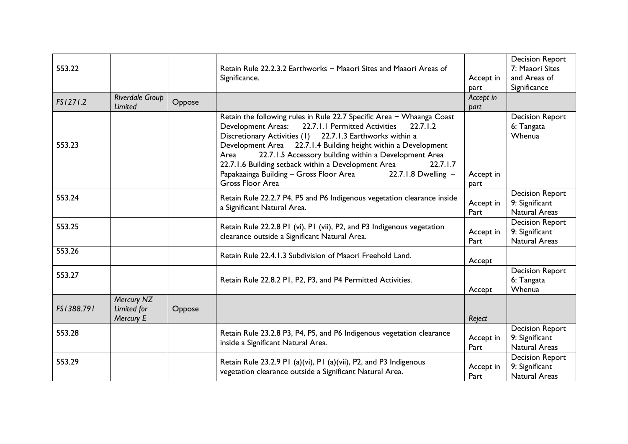| 553.22     |                                        |        | Retain Rule 22.2.3.2 Earthworks - Maaori Sites and Maaori Areas of<br>Significance.                                                                                                                                                                                                                                                                                                                                                                                                                      | Accept in<br>part | <b>Decision Report</b><br>7: Maaori Sites<br>and Areas of<br>Significance |
|------------|----------------------------------------|--------|----------------------------------------------------------------------------------------------------------------------------------------------------------------------------------------------------------------------------------------------------------------------------------------------------------------------------------------------------------------------------------------------------------------------------------------------------------------------------------------------------------|-------------------|---------------------------------------------------------------------------|
| FS1271.2   | Riverdale Group<br>Limited             | Oppose |                                                                                                                                                                                                                                                                                                                                                                                                                                                                                                          | Accept in<br>part |                                                                           |
| 553.23     |                                        |        | Retain the following rules in Rule 22.7 Specific Area - Whaanga Coast<br>22.7.1.1 Permitted Activities<br>Development Areas:<br>22.7.1.2<br>Discretionary Activities (1) 22.7.1.3 Earthworks within a<br>Development Area 22.7.1.4 Building height within a Development<br>22.7.1.5 Accessory building within a Development Area<br>Area<br>22.7.1.6 Building setback within a Development Area<br>22.7.1.7<br>Papakaainga Building – Gross Floor Area<br>22.7.1.8 Dwelling -<br><b>Gross Floor Area</b> | Accept in<br>part | <b>Decision Report</b><br>6: Tangata<br>Whenua                            |
| 553.24     |                                        |        | Retain Rule 22.2.7 P4, P5 and P6 Indigenous vegetation clearance inside<br>a Significant Natural Area.                                                                                                                                                                                                                                                                                                                                                                                                   | Accept in<br>Part | <b>Decision Report</b><br>9: Significant<br><b>Natural Areas</b>          |
| 553.25     |                                        |        | Retain Rule 22.2.8 PI (vi), PI (vii), P2, and P3 Indigenous vegetation<br>clearance outside a Significant Natural Area.                                                                                                                                                                                                                                                                                                                                                                                  | Accept in<br>Part | <b>Decision Report</b><br>9: Significant<br><b>Natural Areas</b>          |
| 553.26     |                                        |        | Retain Rule 22.4.1.3 Subdivision of Maaori Freehold Land.                                                                                                                                                                                                                                                                                                                                                                                                                                                | Accept            |                                                                           |
| 553.27     |                                        |        | Retain Rule 22.8.2 PI, P2, P3, and P4 Permitted Activities.                                                                                                                                                                                                                                                                                                                                                                                                                                              | Accept            | <b>Decision Report</b><br>6: Tangata<br>Whenua                            |
| FS1388.791 | Mercury NZ<br>Limited for<br>Mercury E | Oppose |                                                                                                                                                                                                                                                                                                                                                                                                                                                                                                          | Reject            |                                                                           |
| 553.28     |                                        |        | Retain Rule 23.2.8 P3, P4, P5, and P6 Indigenous vegetation clearance<br>inside a Significant Natural Area.                                                                                                                                                                                                                                                                                                                                                                                              | Accept in<br>Part | <b>Decision Report</b><br>9: Significant<br><b>Natural Areas</b>          |
| 553.29     |                                        |        | Retain Rule 23.2.9 P1 (a)(vi), P1 (a)(vii), P2, and P3 Indigenous<br>vegetation clearance outside a Significant Natural Area.                                                                                                                                                                                                                                                                                                                                                                            | Accept in<br>Part | <b>Decision Report</b><br>9: Significant<br><b>Natural Areas</b>          |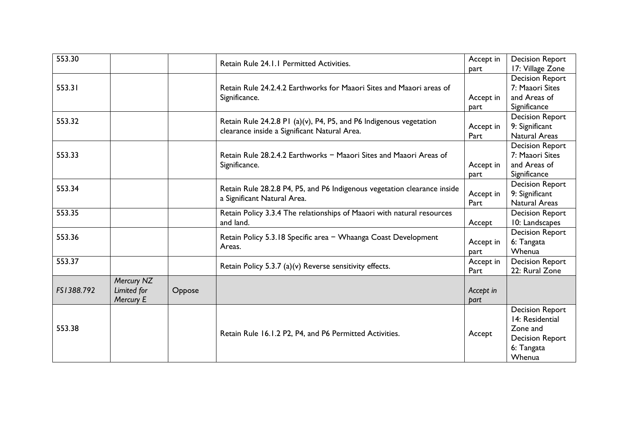| 553.30     |                                        |        | Retain Rule 24.1.1 Permitted Activities.                                                                           | Accept in<br>part | <b>Decision Report</b><br>17: Village Zone                                                              |
|------------|----------------------------------------|--------|--------------------------------------------------------------------------------------------------------------------|-------------------|---------------------------------------------------------------------------------------------------------|
| 553.31     |                                        |        | Retain Rule 24.2.4.2 Earthworks for Maaori Sites and Maaori areas of<br>Significance.                              | Accept in<br>part | <b>Decision Report</b><br>7: Maaori Sites<br>and Areas of<br>Significance                               |
| 553.32     |                                        |        | Retain Rule 24.2.8 PI (a)(v), P4, P5, and P6 Indigenous vegetation<br>clearance inside a Significant Natural Area. | Accept in<br>Part | <b>Decision Report</b><br>9: Significant<br><b>Natural Areas</b>                                        |
| 553.33     |                                        |        | Retain Rule 28.2.4.2 Earthworks - Maaori Sites and Maaori Areas of<br>Significance.                                | Accept in<br>part | <b>Decision Report</b><br>7: Maaori Sites<br>and Areas of<br>Significance                               |
| 553.34     |                                        |        | Retain Rule 28.2.8 P4, P5, and P6 Indigenous vegetation clearance inside<br>a Significant Natural Area.            | Accept in<br>Part | <b>Decision Report</b><br>9: Significant<br><b>Natural Areas</b>                                        |
| 553.35     |                                        |        | Retain Policy 3.3.4 The relationships of Maaori with natural resources<br>and land.                                | Accept            | <b>Decision Report</b><br>10: Landscapes                                                                |
| 553.36     |                                        |        | Retain Policy 5.3.18 Specific area - Whaanga Coast Development<br>Areas.                                           | Accept in<br>part | <b>Decision Report</b><br>6: Tangata<br>Whenua                                                          |
| 553.37     |                                        |        | Retain Policy 5.3.7 (a)(v) Reverse sensitivity effects.                                                            | Accept in<br>Part | <b>Decision Report</b><br>22: Rural Zone                                                                |
| FS1388.792 | Mercury NZ<br>Limited for<br>Mercury E | Oppose |                                                                                                                    | Accept in<br>part |                                                                                                         |
| 553.38     |                                        |        | Retain Rule 16.1.2 P2, P4, and P6 Permitted Activities.                                                            | Accept            | <b>Decision Report</b><br>14: Residential<br>Zone and<br><b>Decision Report</b><br>6: Tangata<br>Whenua |